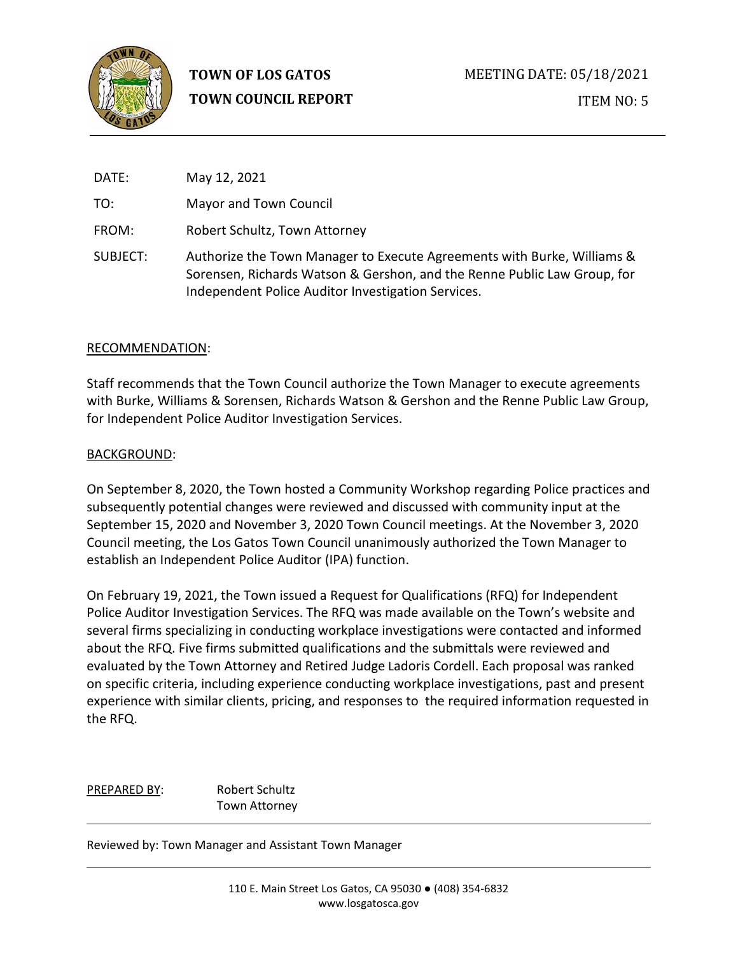

**TOWN OF LOS GATOS TOWN COUNCIL REPORT**

DATE: May 12, 2021 TO: Mayor and Town Council FROM: Robert Schultz, Town Attorney SUBJECT: Authorize the Town Manager to Execute Agreements with Burke, Williams & Sorensen, Richards Watson & Gershon, and the Renne Public Law Group, for Independent Police Auditor Investigation Services.

### RECOMMENDATION:

Staff recommends that the Town Council authorize the Town Manager to execute agreements with Burke, Williams & Sorensen, Richards Watson & Gershon and the Renne Public Law Group, for Independent Police Auditor Investigation Services.

#### BACKGROUND:

On September 8, 2020, the Town hosted a Community Workshop regarding Police practices and subsequently potential changes were reviewed and discussed with community input at the September 15, 2020 and November 3, 2020 Town Council meetings. At the November 3, 2020 Council meeting, the Los Gatos Town Council unanimously authorized the Town Manager to establish an Independent Police Auditor (IPA) function.

On February 19, 2021, the Town issued a Request for Qualifications (RFQ) for Independent Police Auditor Investigation Services. The RFQ was made available on the Town's website and several firms specializing in conducting workplace investigations were contacted and informed about the RFQ. Five firms submitted qualifications and the submittals were reviewed and evaluated by the Town Attorney and Retired Judge Ladoris Cordell. Each proposal was ranked on specific criteria, including experience conducting workplace investigations, past and present experience with similar clients, pricing, and responses to the required information requested in the RFQ.

PREPARED BY: Robert Schultz Town Attorney

Reviewed by: Town Manager and Assistant Town Manager